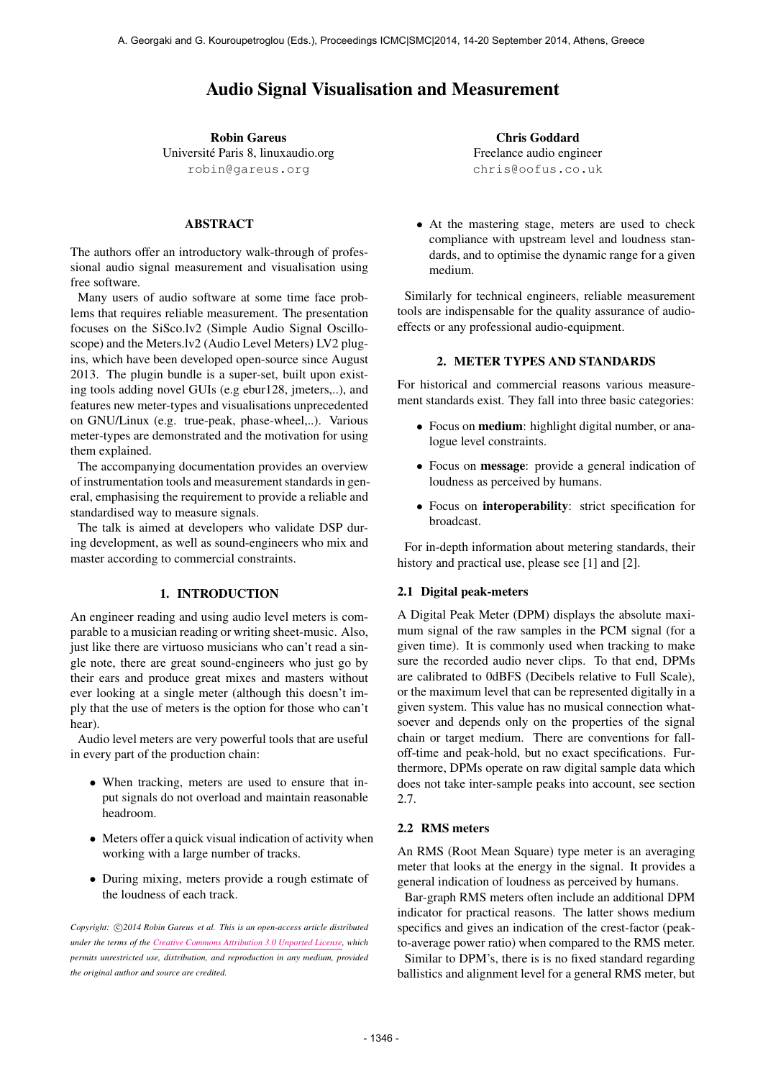# Audio Signal Visualisation and Measurement

Robin Gareus Universite Paris 8, linuxaudio.org ´ [robin@gareus.org](mailto:robin@gareus.org)

# ABSTRACT

The authors offer an introductory walk-through of professional audio signal measurement and visualisation using free software.

Many users of audio software at some time face problems that requires reliable measurement. The presentation focuses on the SiSco.lv2 (Simple Audio Signal Oscilloscope) and the Meters.lv2 (Audio Level Meters) LV2 plugins, which have been developed open-source since August 2013. The plugin bundle is a super-set, built upon existing tools adding novel GUIs (e.g ebur128, jmeters,..), and features new meter-types and visualisations unprecedented on GNU/Linux (e.g. true-peak, phase-wheel,..). Various meter-types are demonstrated and the motivation for using them explained.

The accompanying documentation provides an overview of instrumentation tools and measurement standards in general, emphasising the requirement to provide a reliable and standardised way to measure signals.

The talk is aimed at developers who validate DSP during development, as well as sound-engineers who mix and master according to commercial constraints.

#### 1. INTRODUCTION

An engineer reading and using audio level meters is comparable to a musician reading or writing sheet-music. Also, just like there are virtuoso musicians who can't read a single note, there are great sound-engineers who just go by their ears and produce great mixes and masters without ever looking at a single meter (although this doesn't imply that the use of meters is the option for those who can't hear).

Audio level meters are very powerful tools that are useful in every part of the production chain:

- When tracking, meters are used to ensure that input signals do not overload and maintain reasonable headroom.
- Meters offer a quick visual indication of activity when working with a large number of tracks.
- During mixing, meters provide a rough estimate of the loudness of each track.

Copyright:  $\bigcirc$ 2014 Robin Gareus et al. This is an open-access article distributed *under the terms of the [Creative Commons Attribution 3.0 Unported License,](http://creativecommons.org/licenses/by/3.0/) which permits unrestricted use, distribution, and reproduction in any medium, provided the original author and source are credited.*

Chris Goddard Freelance audio engineer [chris@oofus.co.uk](mailto:chris@oofus.co.uk)

• At the mastering stage, meters are used to check compliance with upstream level and loudness standards, and to optimise the dynamic range for a given medium.

Similarly for technical engineers, reliable measurement tools are indispensable for the quality assurance of audioeffects or any professional audio-equipment.

# 2. METER TYPES AND STANDARDS

For historical and commercial reasons various measurement standards exist. They fall into three basic categories:

- Focus on medium: highlight digital number, or analogue level constraints.
- Focus on message: provide a general indication of loudness as perceived by humans.
- Focus on interoperability: strict specification for broadcast.

For in-depth information about metering standards, their history and practical use, please see [1] and [2].

#### 2.1 Digital peak-meters

A Digital Peak Meter (DPM) displays the absolute maximum signal of the raw samples in the PCM signal (for a given time). It is commonly used when tracking to make sure the recorded audio never clips. To that end, DPMs are calibrated to 0dBFS (Decibels relative to Full Scale), or the maximum level that can be represented digitally in a given system. This value has no musical connection whatsoever and depends only on the properties of the signal chain or target medium. There are conventions for falloff-time and peak-hold, but no exact specifications. Furthermore, DPMs operate on raw digital sample data which does not take inter-sample peaks into account, see section 2.7.

### 2.2 RMS meters

An RMS (Root Mean Square) type meter is an averaging meter that looks at the energy in the signal. It provides a general indication of loudness as perceived by humans.

Bar-graph RMS meters often include an additional DPM indicator for practical reasons. The latter shows medium specifics and gives an indication of the crest-factor (peakto-average power ratio) when compared to the RMS meter.

Similar to DPM's, there is is no fixed standard regarding ballistics and alignment level for a general RMS meter, but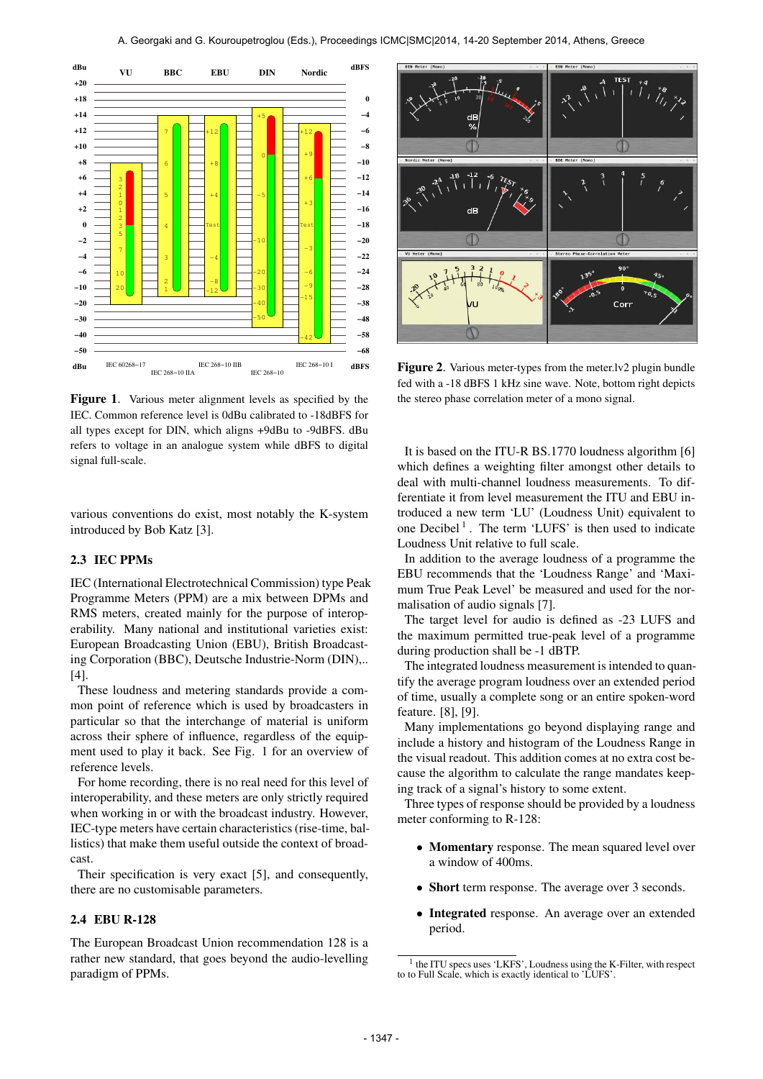

Figure 1. Various meter alignment levels as specified by the IEC. Common reference level is 0dBu calibrated to -18dBFS for all types except for DIN, which aligns +9dBu to -9dBFS. dBu refers to voltage in an analogue system while dBFS to digital signal full-scale.

various conventions do exist, most notably the K-system introduced by Bob Katz [3].

# 2.3 IEC PPMs

IEC (International Electrotechnical Commission) type Peak Programme Meters (PPM) are a mix between DPMs and RMS meters, created mainly for the purpose of interoperability. Many national and institutional varieties exist: European Broadcasting Union (EBU), British Broadcasting Corporation (BBC), Deutsche Industrie-Norm (DIN),.. [4].

These loudness and metering standards provide a common point of reference which is used by broadcasters in particular so that the interchange of material is uniform across their sphere of influence, regardless of the equipment used to play it back. See Fig. 1 for an overview of reference levels.

For home recording, there is no real need for this level of interoperability, and these meters are only strictly required when working in or with the broadcast industry. However, IEC-type meters have certain characteristics (rise-time, ballistics) that make them useful outside the context of broadcast.

Their specification is very exact [5], and consequently, there are no customisable parameters.

# 2.4 EBU R-128

The European Broadcast Union recommendation 128 is a rather new standard, that goes beyond the audio-levelling paradigm of PPMs.



Figure 2. Various meter-types from the meter. Iv2 plugin bundle fed with a -18 dBFS 1 kHz sine wave. Note, bottom right depicts the stereo phase correlation meter of a mono signal.

It is based on the ITU-R BS.1770 loudness algorithm [6] which defines a weighting filter amongst other details to deal with multi-channel loudness measurements. To differentiate it from level measurement the ITU and EBU introduced a new term 'LU' (Loudness Unit) equivalent to one Decibel<sup>1</sup>. The term 'LUFS' is then used to indicate Loudness Unit relative to full scale.

In addition to the average loudness of a programme the EBU recommends that the 'Loudness Range' and 'Maximum True Peak Level' be measured and used for the normalisation of audio signals [7].

The target level for audio is defined as -23 LUFS and the maximum permitted true-peak level of a programme during production shall be -1 dBTP.

The integrated loudness measurement is intended to quantify the average program loudness over an extended period of time, usually a complete song or an entire spoken-word feature. [8], [9].

Many implementations go beyond displaying range and include a history and histogram of the Loudness Range in the visual readout. This addition comes at no extra cost because the algorithm to calculate the range mandates keeping track of a signal's history to some extent.

Three types of response should be provided by a loudness meter conforming to R-128:

- Momentary response. The mean squared level over a window of 400ms.
- Short term response. The average over 3 seconds.
- Integrated response. An average over an extended period.

<sup>&</sup>lt;sup>1</sup> the ITU specs uses 'LKFS', Loudness using the K-Filter, with respect to to Full Scale, which is exactly identical to 'LUFS'.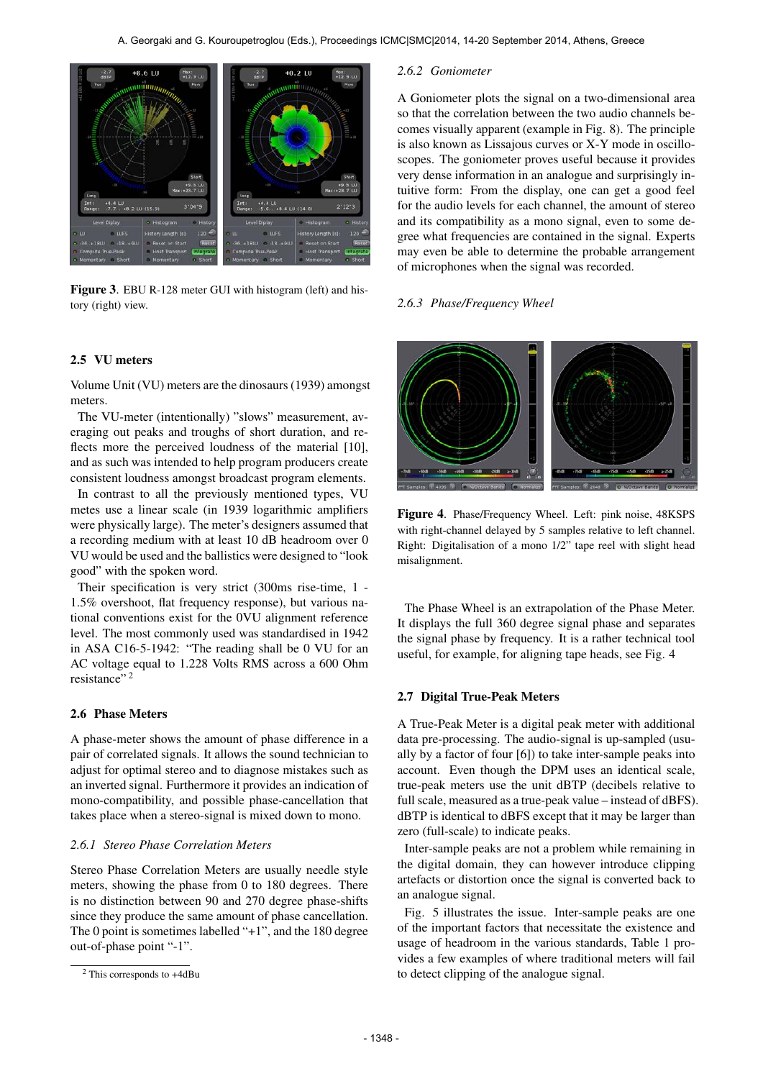

Figure 3. EBU R-128 meter GUI with histogram (left) and history (right) view.

### 2.5 VU meters

Volume Unit (VU) meters are the dinosaurs (1939) amongst meters.

The VU-meter (intentionally) "slows" measurement, averaging out peaks and troughs of short duration, and reflects more the perceived loudness of the material [10], and as such was intended to help program producers create consistent loudness amongst broadcast program elements.

In contrast to all the previously mentioned types, VU metes use a linear scale (in 1939 logarithmic amplifiers were physically large). The meter's designers assumed that a recording medium with at least 10 dB headroom over 0 VU would be used and the ballistics were designed to "look good" with the spoken word.

Their specification is very strict (300ms rise-time, 1 - 1.5% overshoot, flat frequency response), but various national conventions exist for the 0VU alignment reference level. The most commonly used was standardised in 1942 in ASA C16-5-1942: "The reading shall be 0 VU for an AC voltage equal to 1.228 Volts RMS across a 600 Ohm resistance" 2

### 2.6 Phase Meters

A phase-meter shows the amount of phase difference in a pair of correlated signals. It allows the sound technician to adjust for optimal stereo and to diagnose mistakes such as an inverted signal. Furthermore it provides an indication of mono-compatibility, and possible phase-cancellation that takes place when a stereo-signal is mixed down to mono.

# *2.6.1 Stereo Phase Correlation Meters*

Stereo Phase Correlation Meters are usually needle style meters, showing the phase from 0 to 180 degrees. There is no distinction between 90 and 270 degree phase-shifts since they produce the same amount of phase cancellation. The 0 point is sometimes labelled "+1", and the 180 degree out-of-phase point "-1".

#### *2.6.2 Goniometer*

A Goniometer plots the signal on a two-dimensional area so that the correlation between the two audio channels becomes visually apparent (example in Fig. 8). The principle is also known as Lissajous curves or X-Y mode in oscilloscopes. The goniometer proves useful because it provides very dense information in an analogue and surprisingly intuitive form: From the display, one can get a good feel for the audio levels for each channel, the amount of stereo and its compatibility as a mono signal, even to some degree what frequencies are contained in the signal. Experts may even be able to determine the probable arrangement of microphones when the signal was recorded.

#### *2.6.3 Phase/Frequency Wheel*



Figure 4. Phase/Frequency Wheel. Left: pink noise, 48KSPS with right-channel delayed by 5 samples relative to left channel. Right: Digitalisation of a mono 1/2" tape reel with slight head misalignment.

The Phase Wheel is an extrapolation of the Phase Meter. It displays the full 360 degree signal phase and separates the signal phase by frequency. It is a rather technical tool useful, for example, for aligning tape heads, see Fig. 4

### 2.7 Digital True-Peak Meters

A True-Peak Meter is a digital peak meter with additional data pre-processing. The audio-signal is up-sampled (usually by a factor of four [6]) to take inter-sample peaks into account. Even though the DPM uses an identical scale, true-peak meters use the unit dBTP (decibels relative to full scale, measured as a true-peak value – instead of dBFS). dBTP is identical to dBFS except that it may be larger than zero (full-scale) to indicate peaks.

Inter-sample peaks are not a problem while remaining in the digital domain, they can however introduce clipping artefacts or distortion once the signal is converted back to an analogue signal.

Fig. 5 illustrates the issue. Inter-sample peaks are one of the important factors that necessitate the existence and usage of headroom in the various standards, Table 1 provides a few examples of where traditional meters will fail to detect clipping of the analogue signal.

<sup>2</sup> This corresponds to +4dBu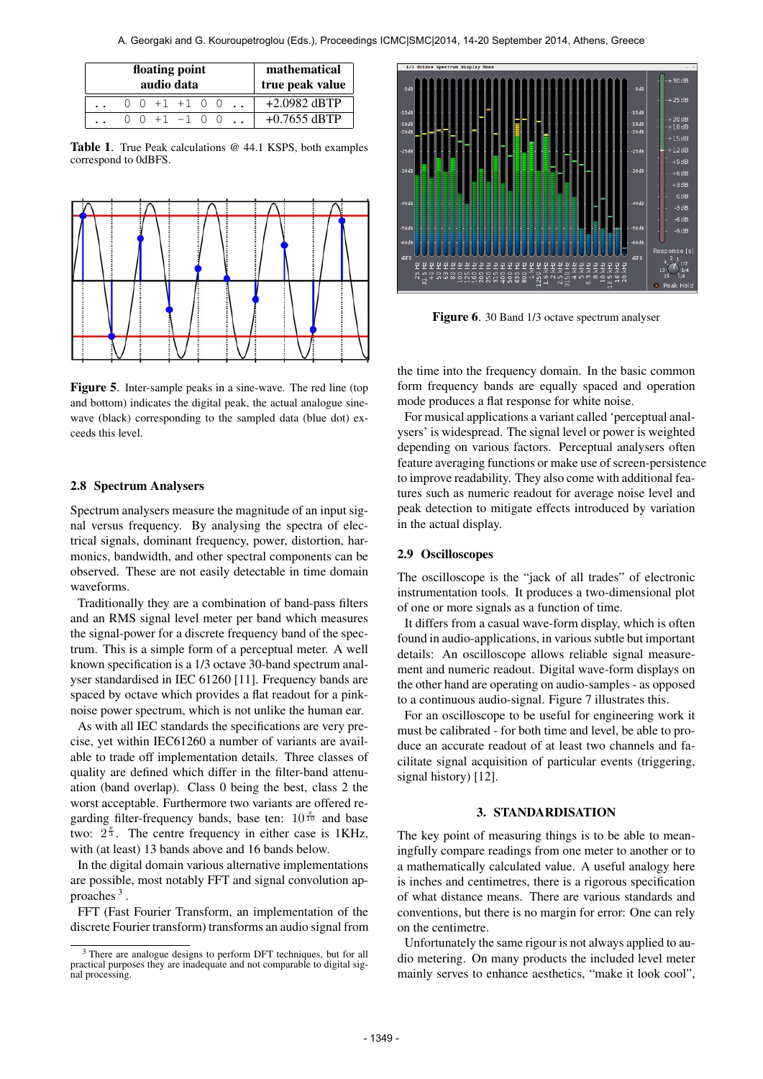| floating point<br>audio data |  |  |  |                                          |  |  |  | mathematical<br>true peak value |
|------------------------------|--|--|--|------------------------------------------|--|--|--|---------------------------------|
|                              |  |  |  | $0 \t0 +1 +1 \t0 0$                      |  |  |  | $+2.0982$ dBTP                  |
|                              |  |  |  | $0 \t 0 \t +1 \t -1 \t 0 \t 0 \t \ldots$ |  |  |  | $+0.7655$ dBTP                  |

Table 1. True Peak calculations @ 44.1 KSPS, both examples correspond to 0dBFS.



Figure 5. Inter-sample peaks in a sine-wave. The red line (top and bottom) indicates the digital peak, the actual analogue sinewave (black) corresponding to the sampled data (blue dot) exceeds this level.

### 2.8 Spectrum Analysers

Spectrum analysers measure the magnitude of an input signal versus frequency. By analysing the spectra of electrical signals, dominant frequency, power, distortion, harmonics, bandwidth, and other spectral components can be observed. These are not easily detectable in time domain waveforms.

Traditionally they are a combination of band-pass filters and an RMS signal level meter per band which measures the signal-power for a discrete frequency band of the spectrum. This is a simple form of a perceptual meter. A well known specification is a 1/3 octave 30-band spectrum analyser standardised in IEC 61260 [11]. Frequency bands are spaced by octave which provides a flat readout for a pinknoise power spectrum, which is not unlike the human ear.

As with all IEC standards the specifications are very precise, yet within IEC61260 a number of variants are available to trade off implementation details. Three classes of quality are defined which differ in the filter-band attenuation (band overlap). Class 0 being the best, class 2 the worst acceptable. Furthermore two variants are offered regarding filter-frequency bands, base ten:  $10^{\frac{x}{10}}$  and base two:  $2^{\frac{x}{3}}$ . The centre frequency in either case is 1KHz, with (at least) 13 bands above and 16 bands below.

In the digital domain various alternative implementations are possible, most notably FFT and signal convolution approaches<sup>3</sup>.

FFT (Fast Fourier Transform, an implementation of the discrete Fourier transform) transforms an audio signal from



Figure 6. 30 Band 1/3 octave spectrum analyser

the time into the frequency domain. In the basic common form frequency bands are equally spaced and operation mode produces a flat response for white noise.

For musical applications a variant called 'perceptual analysers' is widespread. The signal level or power is weighted depending on various factors. Perceptual analysers often feature averaging functions or make use of screen-persistence to improve readability. They also come with additional features such as numeric readout for average noise level and peak detection to mitigate effects introduced by variation in the actual display.

# 2.9 Oscilloscopes

The oscilloscope is the "jack of all trades" of electronic instrumentation tools. It produces a two-dimensional plot of one or more signals as a function of time.

It differs from a casual wave-form display, which is often found in audio-applications, in various subtle but important details: An oscilloscope allows reliable signal measurement and numeric readout. Digital wave-form displays on the other hand are operating on audio-samples - as opposed to a continuous audio-signal. Figure 7 illustrates this.

For an oscilloscope to be useful for engineering work it must be calibrated - for both time and level, be able to produce an accurate readout of at least two channels and facilitate signal acquisition of particular events (triggering, signal history) [12].

#### 3. STANDARDISATION

The key point of measuring things is to be able to meaningfully compare readings from one meter to another or to a mathematically calculated value. A useful analogy here is inches and centimetres, there is a rigorous specification of what distance means. There are various standards and conventions, but there is no margin for error: One can rely on the centimetre.

Unfortunately the same rigour is not always applied to audio metering. On many products the included level meter mainly serves to enhance aesthetics, "make it look cool",

<sup>3</sup> There are analogue designs to perform DFT techniques, but for all practical purposes they are inadequate and not comparable to digital signal processing.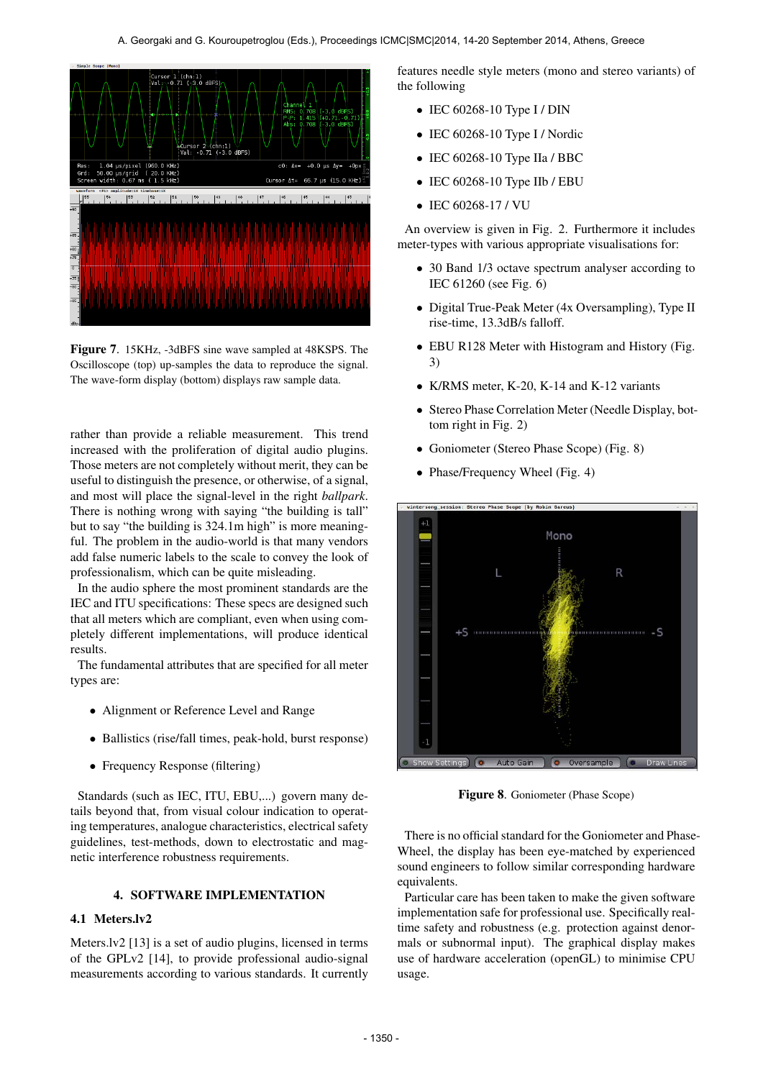

Figure 7. 15KHz, -3dBFS sine wave sampled at 48KSPS. The Oscilloscope (top) up-samples the data to reproduce the signal. The wave-form display (bottom) displays raw sample data.

rather than provide a reliable measurement. This trend increased with the proliferation of digital audio plugins. Those meters are not completely without merit, they can be useful to distinguish the presence, or otherwise, of a signal, and most will place the signal-level in the right *ballpark*. There is nothing wrong with saying "the building is tall" but to say "the building is 324.1m high" is more meaningful. The problem in the audio-world is that many vendors add false numeric labels to the scale to convey the look of professionalism, which can be quite misleading.

In the audio sphere the most prominent standards are the IEC and ITU specifications: These specs are designed such that all meters which are compliant, even when using completely different implementations, will produce identical results.

The fundamental attributes that are specified for all meter types are:

- Alignment or Reference Level and Range
- Ballistics (rise/fall times, peak-hold, burst response)
- Frequency Response (filtering)

Standards (such as IEC, ITU, EBU,...) govern many details beyond that, from visual colour indication to operating temperatures, analogue characteristics, electrical safety guidelines, test-methods, down to electrostatic and magnetic interference robustness requirements.

# 4. SOFTWARE IMPLEMENTATION

# 4.1 Meters.lv2

Meters.lv2 [13] is a set of audio plugins, licensed in terms of the GPLv2 [14], to provide professional audio-signal measurements according to various standards. It currently features needle style meters (mono and stereo variants) of the following

- IEC 60268-10 Type I / DIN
- $\bullet$  IEC 60268-10 Type I / Nordic
- IEC 60268-10 Type IIa / BBC
- IEC 60268-10 Type IIb / EBU
- IEC 60268-17 / VU

An overview is given in Fig. 2. Furthermore it includes meter-types with various appropriate visualisations for:

- 30 Band 1/3 octave spectrum analyser according to IEC 61260 (see Fig. 6)
- Digital True-Peak Meter (4x Oversampling), Type II rise-time, 13.3dB/s falloff.
- EBU R128 Meter with Histogram and History (Fig. 3)
- K/RMS meter, K-20, K-14 and K-12 variants
- Stereo Phase Correlation Meter (Needle Display, bottom right in Fig. 2)
- Goniometer (Stereo Phase Scope) (Fig. 8)
- Phase/Frequency Wheel (Fig. 4)



Figure 8. Goniometer (Phase Scope)

There is no official standard for the Goniometer and Phase-Wheel, the display has been eye-matched by experienced sound engineers to follow similar corresponding hardware equivalents.

Particular care has been taken to make the given software implementation safe for professional use. Specifically realtime safety and robustness (e.g. protection against denormals or subnormal input). The graphical display makes use of hardware acceleration (openGL) to minimise CPU usage.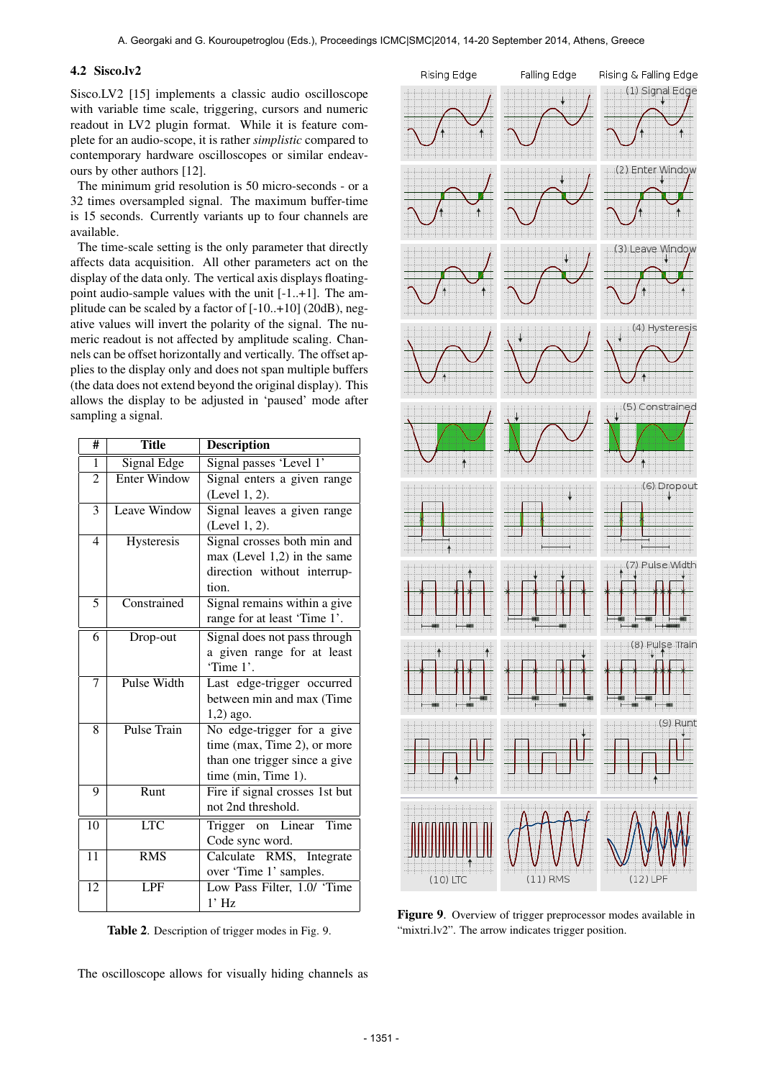# 4.2 Sisco.lv2

Sisco.LV2 [15] implements a classic audio oscilloscope with variable time scale, triggering, cursors and numeric readout in LV2 plugin format. While it is feature complete for an audio-scope, it is rather *simplistic* compared to contemporary hardware oscilloscopes or similar endeavours by other authors [12].

The minimum grid resolution is 50 micro-seconds - or a 32 times oversampled signal. The maximum buffer-time is 15 seconds. Currently variants up to four channels are available.

The time-scale setting is the only parameter that directly affects data acquisition. All other parameters act on the display of the data only. The vertical axis displays floatingpoint audio-sample values with the unit [-1..+1]. The amplitude can be scaled by a factor of [-10..+10] (20dB), negative values will invert the polarity of the signal. The numeric readout is not affected by amplitude scaling. Channels can be offset horizontally and vertically. The offset applies to the display only and does not span multiple buffers (the data does not extend beyond the original display). This allows the display to be adjusted in 'paused' mode after sampling a signal.

| #               | <b>Title</b>            | <b>Description</b>             |
|-----------------|-------------------------|--------------------------------|
| 1               | Signal Edge             | Signal passes 'Level 1'        |
| $\overline{2}$  | Enter Window            | Signal enters a given range    |
|                 |                         | (Level 1, 2).                  |
| 3               | Leave Window            | Signal leaves a given range    |
|                 |                         | (Level 1, 2).                  |
| 4               | Hysteresis              | Signal crosses both min and    |
|                 |                         | $max$ (Level 1,2) in the same  |
|                 |                         | direction without interrup-    |
|                 |                         | tion.                          |
| 5               | Constrained             | Signal remains within a give   |
|                 |                         | range for at least 'Time 1'.   |
| 6               | Drop-out                | Signal does not pass through   |
|                 |                         | a given range for at least     |
|                 |                         | 'Time 1'.                      |
| 7               | Pulse Width             | Last edge-trigger occurred     |
|                 |                         | between min and max (Time      |
|                 |                         | 1,2) ago.                      |
| 8               | Pulse Train             | No edge-trigger for a give     |
|                 |                         | time (max, Time 2), or more    |
|                 |                         | than one trigger since a give  |
|                 |                         | time (min, Time 1).            |
| 9               | Runt                    | Fire if signal crosses 1st but |
|                 |                         | not 2nd threshold.             |
| 10              | $\overline{\text{LTC}}$ | Trigger on Linear<br>Time      |
|                 |                         | Code sync word.                |
| 11              | <b>RMS</b>              | Calculate<br>RMS, Integrate    |
|                 |                         | over 'Time 1' samples.         |
| $\overline{12}$ | <b>LPF</b>              | Low Pass Filter, 1.0/ 'Time    |
|                 |                         | $1'$ Hz                        |

Table 2. Description of trigger modes in Fig. 9.

The oscilloscope allows for visually hiding channels as



Figure 9. Overview of trigger preprocessor modes available in "mixtri.lv2". The arrow indicates trigger position.